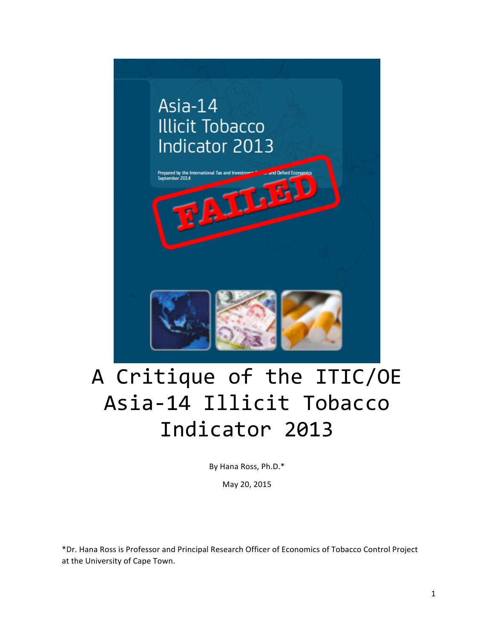

# A Critique of the ITIC/OE Asia-14 Illicit Tobacco Indicator 2013

By Hana Ross, Ph.D.\*

May 20, 2015

\*Dr. Hana Ross is Professor and Principal Research Officer of Economics of Tobacco Control Project at the University of Cape Town.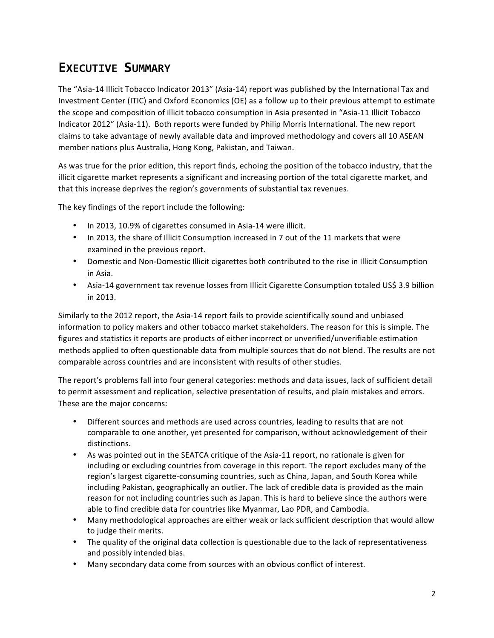# **EXECUTIVE SUMMARY**

The "Asia-14 Illicit Tobacco Indicator 2013" (Asia-14) report was published by the International Tax and Investment Center (ITIC) and Oxford Economics (OE) as a follow up to their previous attempt to estimate the scope and composition of illicit tobacco consumption in Asia presented in "Asia-11 Illicit Tobacco Indicator 2012" (Asia-11). Both reports were funded by Philip Morris International. The new report claims to take advantage of newly available data and improved methodology and covers all 10 ASEAN member nations plus Australia, Hong Kong, Pakistan, and Taiwan.

As was true for the prior edition, this report finds, echoing the position of the tobacco industry, that the illicit cigarette market represents a significant and increasing portion of the total cigarette market, and that this increase deprives the region's governments of substantial tax revenues.

The key findings of the report include the following:

- In 2013, 10.9% of cigarettes consumed in Asia-14 were illicit.
- In 2013, the share of Illicit Consumption increased in 7 out of the 11 markets that were examined in the previous report.
- Domestic and Non-Domestic Illicit cigarettes both contributed to the rise in Illicit Consumption in Asia.
- Asia-14 government tax revenue losses from Illicit Cigarette Consumption totaled US\$ 3.9 billion in 2013.

Similarly to the 2012 report, the Asia-14 report fails to provide scientifically sound and unbiased information to policy makers and other tobacco market stakeholders. The reason for this is simple. The figures and statistics it reports are products of either incorrect or unverified/unverifiable estimation methods applied to often questionable data from multiple sources that do not blend. The results are not comparable across countries and are inconsistent with results of other studies.

The report's problems fall into four general categories: methods and data issues, lack of sufficient detail to permit assessment and replication, selective presentation of results, and plain mistakes and errors. These are the major concerns:

- Different sources and methods are used across countries, leading to results that are not comparable to one another, yet presented for comparison, without acknowledgement of their distinctions.
- As was pointed out in the SEATCA critique of the Asia-11 report, no rationale is given for including or excluding countries from coverage in this report. The report excludes many of the region's largest cigarette-consuming countries, such as China, Japan, and South Korea while including Pakistan, geographically an outlier. The lack of credible data is provided as the main reason for not including countries such as Japan. This is hard to believe since the authors were able to find credible data for countries like Myanmar, Lao PDR, and Cambodia.
- Many methodological approaches are either weak or lack sufficient description that would allow to judge their merits.
- The quality of the original data collection is questionable due to the lack of representativeness and possibly intended bias.
- Many secondary data come from sources with an obvious conflict of interest.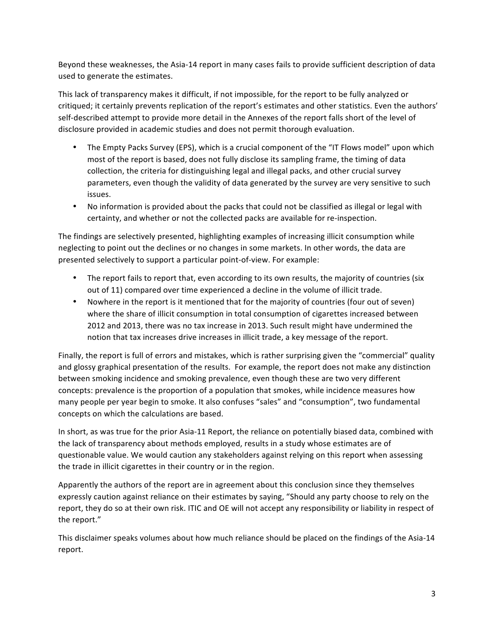Beyond these weaknesses, the Asia-14 report in many cases fails to provide sufficient description of data used to generate the estimates.

This lack of transparency makes it difficult, if not impossible, for the report to be fully analyzed or critiqued; it certainly prevents replication of the report's estimates and other statistics. Even the authors' self-described attempt to provide more detail in the Annexes of the report falls short of the level of disclosure provided in academic studies and does not permit thorough evaluation.

- The Empty Packs Survey (EPS), which is a crucial component of the "IT Flows model" upon which most of the report is based, does not fully disclose its sampling frame, the timing of data collection, the criteria for distinguishing legal and illegal packs, and other crucial survey parameters, even though the validity of data generated by the survey are very sensitive to such issues.
- No information is provided about the packs that could not be classified as illegal or legal with certainty, and whether or not the collected packs are available for re-inspection.

The findings are selectively presented, highlighting examples of increasing illicit consumption while neglecting to point out the declines or no changes in some markets. In other words, the data are presented selectively to support a particular point-of-view. For example:

- The report fails to report that, even according to its own results, the majority of countries (six out of 11) compared over time experienced a decline in the volume of illicit trade.
- Nowhere in the report is it mentioned that for the majority of countries (four out of seven) where the share of illicit consumption in total consumption of cigarettes increased between 2012 and 2013, there was no tax increase in 2013. Such result might have undermined the notion that tax increases drive increases in illicit trade, a key message of the report.

Finally, the report is full of errors and mistakes, which is rather surprising given the "commercial" quality and glossy graphical presentation of the results. For example, the report does not make any distinction between smoking incidence and smoking prevalence, even though these are two very different concepts: prevalence is the proportion of a population that smokes, while incidence measures how many people per year begin to smoke. It also confuses "sales" and "consumption", two fundamental concepts on which the calculations are based.

In short, as was true for the prior Asia-11 Report, the reliance on potentially biased data, combined with the lack of transparency about methods employed, results in a study whose estimates are of questionable value. We would caution any stakeholders against relying on this report when assessing the trade in illicit cigarettes in their country or in the region.

Apparently the authors of the report are in agreement about this conclusion since they themselves expressly caution against reliance on their estimates by saying, "Should any party choose to rely on the report, they do so at their own risk. ITIC and OE will not accept any responsibility or liability in respect of the report."

This disclaimer speaks volumes about how much reliance should be placed on the findings of the Asia-14 report.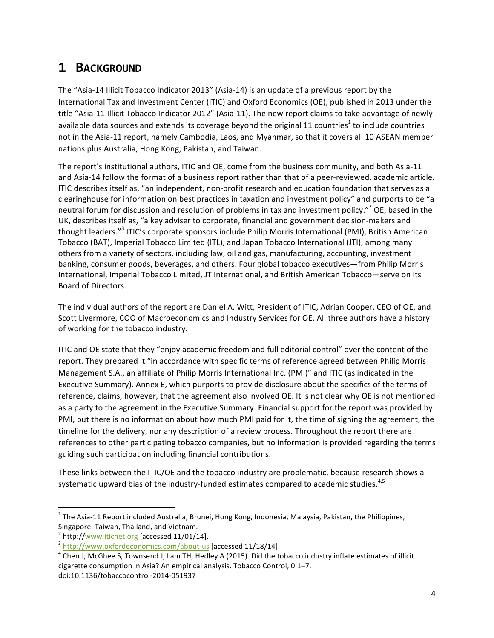# **1 BACKGROUND**

The "Asia-14 Illicit Tobacco Indicator 2013" (Asia-14) is an update of a previous report by the International Tax and Investment Center (ITIC) and Oxford Economics (OE), published in 2013 under the title "Asia-11 Illicit Tobacco Indicator 2012" (Asia-11). The new report claims to take advantage of newly available data sources and extends its coverage beyond the original 11 countries<sup>1</sup> to include countries not in the Asia-11 report, namely Cambodia, Laos, and Myanmar, so that it covers all 10 ASEAN member nations plus Australia, Hong Kong, Pakistan, and Taiwan.

The report's institutional authors, ITIC and OE, come from the business community, and both Asia-11 and Asia-14 follow the format of a business report rather than that of a peer-reviewed, academic article. ITIC describes itself as, "an independent, non-profit research and education foundation that serves as a clearinghouse for information on best practices in taxation and investment policy" and purports to be "a neutral forum for discussion and resolution of problems in tax and investment policy."<sup>2</sup> OE, based in the UK, describes itself as, "a key adviser to corporate, financial and government decision-makers and thought leaders."<sup>3</sup> ITIC's corporate sponsors include Philip Morris International (PMI), British American Tobacco (BAT), Imperial Tobacco Limited (ITL), and Japan Tobacco International (JTI), among many others from a variety of sectors, including law, oil and gas, manufacturing, accounting, investment banking, consumer goods, beverages, and others. Four global tobacco executives—from Philip Morris International, Imperial Tobacco Limited, JT International, and British American Tobacco-serve on its Board of Directors. 

The individual authors of the report are Daniel A. Witt, President of ITIC, Adrian Cooper, CEO of OE, and Scott Livermore, COO of Macroeconomics and Industry Services for OE. All three authors have a history of working for the tobacco industry.

ITIC and OE state that they "enjoy academic freedom and full editorial control" over the content of the report. They prepared it "in accordance with specific terms of reference agreed between Philip Morris Management S.A., an affiliate of Philip Morris International Inc. (PMI)" and ITIC (as indicated in the Executive Summary). Annex E, which purports to provide disclosure about the specifics of the terms of reference, claims, however, that the agreement also involved OE. It is not clear why OE is not mentioned as a party to the agreement in the Executive Summary. Financial support for the report was provided by PMI, but there is no information about how much PMI paid for it, the time of signing the agreement, the timeline for the delivery, nor any description of a review process. Throughout the report there are references to other participating tobacco companies, but no information is provided regarding the terms guiding such participation including financial contributions.

These links between the ITIC/OE and the tobacco industry are problematic, because research shows a systematic upward bias of the industry-funded estimates compared to academic studies.<sup>4,5</sup>

 $1$  The Asia-11 Report included Australia, Brunei, Hong Kong, Indonesia, Malaysia, Pakistan, the Philippines, Singapore, Taiwan, Thailand, and Vietnam.<br> $^2$  http://www.iticnet.org [accessed 11/01/14].

<sup>&</sup>lt;sup>3</sup> http://www.oxfordeconomics.com/about-us [accessed 11/18/14].

 $4$  Chen J, McGhee S, Townsend J, Lam TH, Hedley A (2015). Did the tobacco industry inflate estimates of illicit cigarette consumption in Asia? An empirical analysis. Tobacco Control, 0:1-7. doi:10.1136/tobaccocontrol-2014-051937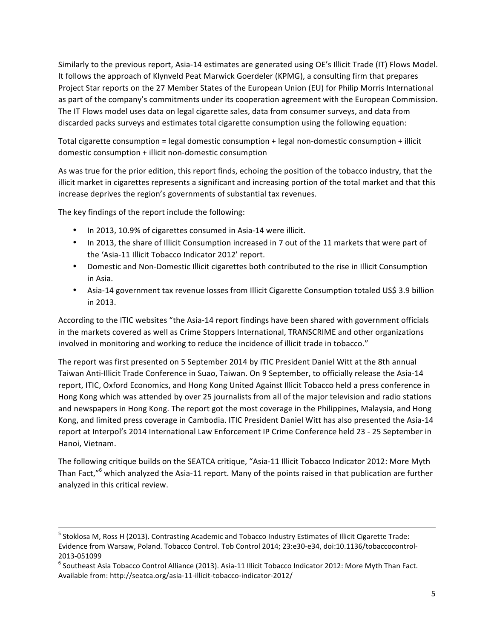Similarly to the previous report, Asia-14 estimates are generated using OE's Illicit Trade (IT) Flows Model. It follows the approach of Klynveld Peat Marwick Goerdeler (KPMG), a consulting firm that prepares Project Star reports on the 27 Member States of the European Union (EU) for Philip Morris International as part of the company's commitments under its cooperation agreement with the European Commission. The IT Flows model uses data on legal cigarette sales, data from consumer surveys, and data from discarded packs surveys and estimates total cigarette consumption using the following equation:

Total cigarette consumption = legal domestic consumption + legal non-domestic consumption + illicit domestic consumption + illicit non-domestic consumption

As was true for the prior edition, this report finds, echoing the position of the tobacco industry, that the illicit market in cigarettes represents a significant and increasing portion of the total market and that this increase deprives the region's governments of substantial tax revenues.

The key findings of the report include the following:

- In 2013, 10.9% of cigarettes consumed in Asia-14 were illicit.
- In 2013, the share of Illicit Consumption increased in 7 out of the 11 markets that were part of the 'Asia-11 Illicit Tobacco Indicator 2012' report.
- Domestic and Non-Domestic Illicit cigarettes both contributed to the rise in Illicit Consumption in Asia.
- Asia-14 government tax revenue losses from Illicit Cigarette Consumption totaled US\$ 3.9 billion in 2013.

According to the ITIC websites "the Asia-14 report findings have been shared with government officials in the markets covered as well as Crime Stoppers International, TRANSCRIME and other organizations involved in monitoring and working to reduce the incidence of illicit trade in tobacco."

The report was first presented on 5 September 2014 by ITIC President Daniel Witt at the 8th annual Taiwan Anti-Illicit Trade Conference in Suao, Taiwan. On 9 September, to officially release the Asia-14 report, ITIC, Oxford Economics, and Hong Kong United Against Illicit Tobacco held a press conference in Hong Kong which was attended by over 25 journalists from all of the major television and radio stations and newspapers in Hong Kong. The report got the most coverage in the Philippines, Malaysia, and Hong Kong, and limited press coverage in Cambodia. ITIC President Daniel Witt has also presented the Asia-14 report at Interpol's 2014 International Law Enforcement IP Crime Conference held 23 - 25 September in Hanoi, Vietnam.

The following critique builds on the SEATCA critique, "Asia-11 Illicit Tobacco Indicator 2012: More Myth Than Fact,"<sup>6</sup> which analyzed the Asia-11 report. Many of the points raised in that publication are further analyzed in this critical review.

 $<sup>5</sup>$  Stoklosa M, Ross H (2013). Contrasting Academic and Tobacco Industry Estimates of Illicit Cigarette Trade:</sup> Evidence from Warsaw, Poland. Tobacco Control. Tob Control 2014; 23:e30-e34, doi:10.1136/tobaccocontrol-

<sup>2013-051099&</sup>lt;br><sup>6</sup> Southeast Asia Tobacco Control Alliance (2013). Asia-11 Illicit Tobacco Indicator 2012: More Myth Than Fact. Available from: http://seatca.org/asia-11-illicit-tobacco-indicator-2012/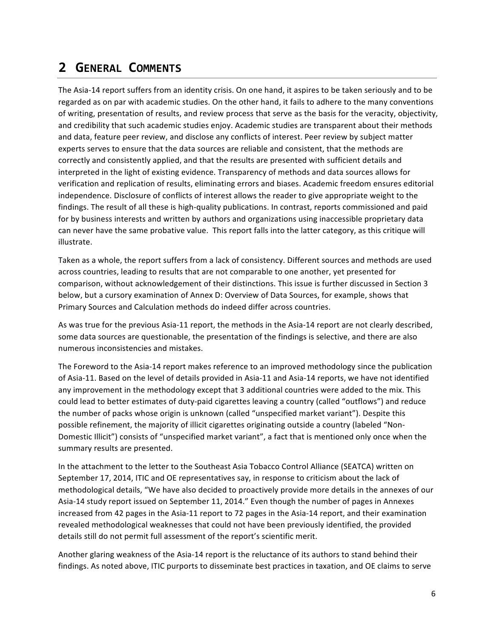# **2 GENERAL COMMENTS**

The Asia-14 report suffers from an identity crisis. On one hand, it aspires to be taken seriously and to be regarded as on par with academic studies. On the other hand, it fails to adhere to the many conventions of writing, presentation of results, and review process that serve as the basis for the veracity, objectivity, and credibility that such academic studies enjoy. Academic studies are transparent about their methods and data, feature peer review, and disclose any conflicts of interest. Peer review by subject matter experts serves to ensure that the data sources are reliable and consistent, that the methods are correctly and consistently applied, and that the results are presented with sufficient details and interpreted in the light of existing evidence. Transparency of methods and data sources allows for verification and replication of results, eliminating errors and biases. Academic freedom ensures editorial independence. Disclosure of conflicts of interest allows the reader to give appropriate weight to the findings. The result of all these is high-quality publications. In contrast, reports commissioned and paid for by business interests and written by authors and organizations using inaccessible proprietary data can never have the same probative value. This report falls into the latter category, as this critique will illustrate.

Taken as a whole, the report suffers from a lack of consistency. Different sources and methods are used across countries, leading to results that are not comparable to one another, yet presented for comparison, without acknowledgement of their distinctions. This issue is further discussed in Section 3 below, but a cursory examination of Annex D: Overview of Data Sources, for example, shows that Primary Sources and Calculation methods do indeed differ across countries.

As was true for the previous Asia-11 report, the methods in the Asia-14 report are not clearly described, some data sources are questionable, the presentation of the findings is selective, and there are also numerous inconsistencies and mistakes.

The Foreword to the Asia-14 report makes reference to an improved methodology since the publication of Asia-11. Based on the level of details provided in Asia-11 and Asia-14 reports, we have not identified any improvement in the methodology except that 3 additional countries were added to the mix. This could lead to better estimates of duty-paid cigarettes leaving a country (called "outflows") and reduce the number of packs whose origin is unknown (called "unspecified market variant"). Despite this possible refinement, the majority of illicit cigarettes originating outside a country (labeled "Non-Domestic Illicit") consists of "unspecified market variant", a fact that is mentioned only once when the summary results are presented.

In the attachment to the letter to the Southeast Asia Tobacco Control Alliance (SEATCA) written on September 17, 2014, ITIC and OE representatives say, in response to criticism about the lack of methodological details, "We have also decided to proactively provide more details in the annexes of our Asia-14 study report issued on September 11, 2014." Even though the number of pages in Annexes increased from 42 pages in the Asia-11 report to 72 pages in the Asia-14 report, and their examination revealed methodological weaknesses that could not have been previously identified, the provided details still do not permit full assessment of the report's scientific merit.

Another glaring weakness of the Asia-14 report is the reluctance of its authors to stand behind their findings. As noted above, ITIC purports to disseminate best practices in taxation, and OE claims to serve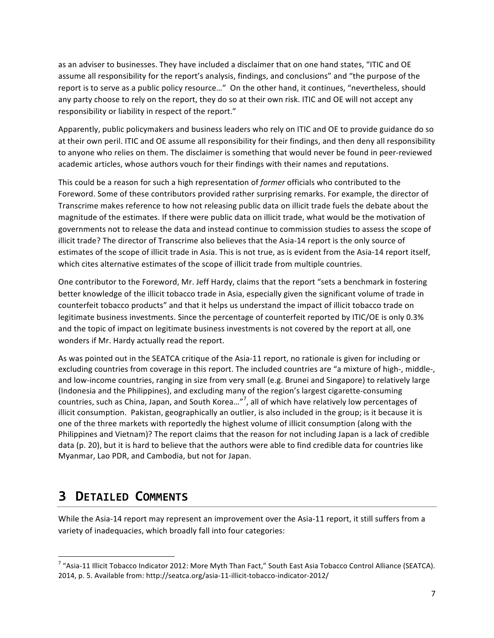as an adviser to businesses. They have included a disclaimer that on one hand states, "ITIC and OE assume all responsibility for the report's analysis, findings, and conclusions" and "the purpose of the report is to serve as a public policy resource..." On the other hand, it continues, "nevertheless, should any party choose to rely on the report, they do so at their own risk. ITIC and OE will not accept any responsibility or liability in respect of the report."

Apparently, public policymakers and business leaders who rely on ITIC and OE to provide guidance do so at their own peril. ITIC and OE assume all responsibility for their findings, and then deny all responsibility to anyone who relies on them. The disclaimer is something that would never be found in peer-reviewed academic articles, whose authors vouch for their findings with their names and reputations.

This could be a reason for such a high representation of *former* officials who contributed to the Foreword. Some of these contributors provided rather surprising remarks. For example, the director of Transcrime makes reference to how not releasing public data on illicit trade fuels the debate about the magnitude of the estimates. If there were public data on illicit trade, what would be the motivation of governments not to release the data and instead continue to commission studies to assess the scope of illicit trade? The director of Transcrime also believes that the Asia-14 report is the only source of estimates of the scope of illicit trade in Asia. This is not true, as is evident from the Asia-14 report itself, which cites alternative estimates of the scope of illicit trade from multiple countries.

One contributor to the Foreword, Mr. Jeff Hardy, claims that the report "sets a benchmark in fostering better knowledge of the illicit tobacco trade in Asia, especially given the significant volume of trade in counterfeit tobacco products" and that it helps us understand the impact of illicit tobacco trade on legitimate business investments. Since the percentage of counterfeit reported by ITIC/OE is only 0.3% and the topic of impact on legitimate business investments is not covered by the report at all, one wonders if Mr. Hardy actually read the report.

As was pointed out in the SEATCA critique of the Asia-11 report, no rationale is given for including or excluding countries from coverage in this report. The included countries are "a mixture of high-, middle-, and low-income countries, ranging in size from very small (e.g. Brunei and Singapore) to relatively large (Indonesia and the Philippines), and excluding many of the region's largest cigarette-consuming countries, such as China, Japan, and South Korea..."<sup>7</sup>, all of which have relatively low percentages of illicit consumption. Pakistan, geographically an outlier, is also included in the group; is it because it is one of the three markets with reportedly the highest volume of illicit consumption (along with the Philippines and Vietnam)? The report claims that the reason for not including Japan is a lack of credible data (p. 20), but it is hard to believe that the authors were able to find credible data for countries like Myanmar, Lao PDR, and Cambodia, but not for Japan.

# **3 DETAILED COMMENTS**

 

While the Asia-14 report may represent an improvement over the Asia-11 report, it still suffers from a variety of inadequacies, which broadly fall into four categories:

 $^7$  "Asia-11 Illicit Tobacco Indicator 2012: More Myth Than Fact," South East Asia Tobacco Control Alliance (SEATCA). 2014, p. 5. Available from: http://seatca.org/asia-11-illicit-tobacco-indicator-2012/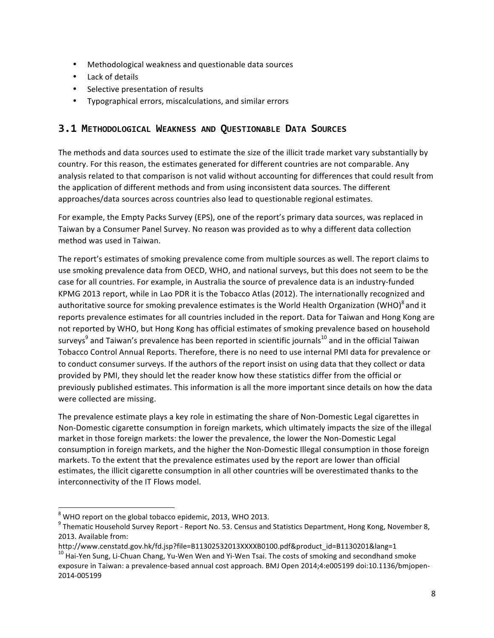- Methodological weakness and questionable data sources
- Lack of details
- Selective presentation of results
- Typographical errors, miscalculations, and similar errors

#### **3.1 METHODOLOGICAL WEAKNESS AND QUESTIONABLE DATA SOURCES**

The methods and data sources used to estimate the size of the illicit trade market vary substantially by country. For this reason, the estimates generated for different countries are not comparable. Any analysis related to that comparison is not valid without accounting for differences that could result from the application of different methods and from using inconsistent data sources. The different approaches/data sources across countries also lead to questionable regional estimates.

For example, the Empty Packs Survey (EPS), one of the report's primary data sources, was replaced in Taiwan by a Consumer Panel Survey. No reason was provided as to why a different data collection method was used in Taiwan.

The report's estimates of smoking prevalence come from multiple sources as well. The report claims to use smoking prevalence data from OECD, WHO, and national surveys, but this does not seem to be the case for all countries. For example, in Australia the source of prevalence data is an industry-funded KPMG 2013 report, while in Lao PDR it is the Tobacco Atlas (2012). The internationally recognized and authoritative source for smoking prevalence estimates is the World Health Organization (WHO)<sup>8</sup> and it reports prevalence estimates for all countries included in the report. Data for Taiwan and Hong Kong are not reported by WHO, but Hong Kong has official estimates of smoking prevalence based on household surveys $^9$  and Taiwan's prevalence has been reported in scientific journals<sup>10</sup> and in the official Taiwan Tobacco Control Annual Reports. Therefore, there is no need to use internal PMI data for prevalence or to conduct consumer surveys. If the authors of the report insist on using data that they collect or data provided by PMI, they should let the reader know how these statistics differ from the official or previously published estimates. This information is all the more important since details on how the data were collected are missing.

The prevalence estimate plays a key role in estimating the share of Non-Domestic Legal cigarettes in Non-Domestic cigarette consumption in foreign markets, which ultimately impacts the size of the illegal market in those foreign markets: the lower the prevalence, the lower the Non-Domestic Legal consumption in foreign markets, and the higher the Non-Domestic Illegal consumption in those foreign markets. To the extent that the prevalence estimates used by the report are lower than official estimates, the illicit cigarette consumption in all other countries will be overestimated thanks to the interconnectivity of the IT Flows model.

 $^8$  WHO report on the global tobacco epidemic, 2013, WHO 2013.<br>
<sup>9</sup> Thematic Household Survey Report - Report No. 53. Census and Statistics Department, Hong Kong, November 8, 2013. Available from:

http://www.censtatd.gov.hk/fd.jsp?file=B11302532013XXXXB0100.pdf&product\_id=B1130201&lang=1<br><sup>10</sup> Hai-Yen Sung, Li-Chuan Chang, Yu-Wen Wen and Yi-Wen Tsai. The costs of smoking and secondhand smoke

exposure in Taiwan: a prevalence-based annual cost approach. BMJ Open 2014;4:e005199 doi:10.1136/bmjopen-2014-005199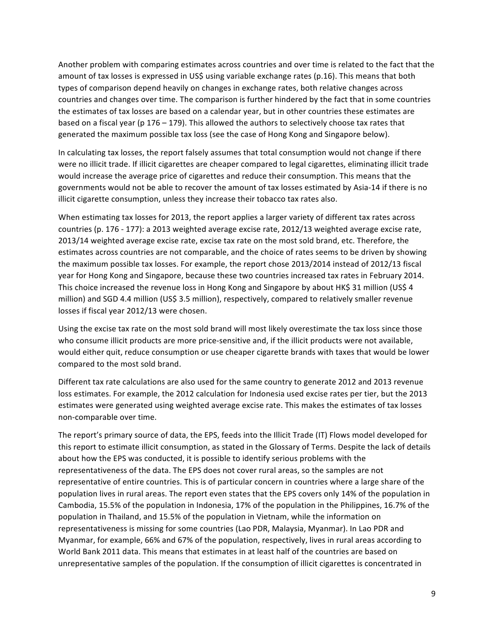Another problem with comparing estimates across countries and over time is related to the fact that the amount of tax losses is expressed in US\$ using variable exchange rates (p.16). This means that both types of comparison depend heavily on changes in exchange rates, both relative changes across countries and changes over time. The comparison is further hindered by the fact that in some countries the estimates of tax losses are based on a calendar year, but in other countries these estimates are based on a fiscal year (p 176 – 179). This allowed the authors to selectively choose tax rates that generated the maximum possible tax loss (see the case of Hong Kong and Singapore below).

In calculating tax losses, the report falsely assumes that total consumption would not change if there were no illicit trade. If illicit cigarettes are cheaper compared to legal cigarettes, eliminating illicit trade would increase the average price of cigarettes and reduce their consumption. This means that the governments would not be able to recover the amount of tax losses estimated by Asia-14 if there is no illicit cigarette consumption, unless they increase their tobacco tax rates also.

When estimating tax losses for 2013, the report applies a larger variety of different tax rates across countries (p. 176 - 177): a 2013 weighted average excise rate, 2012/13 weighted average excise rate, 2013/14 weighted average excise rate, excise tax rate on the most sold brand, etc. Therefore, the estimates across countries are not comparable, and the choice of rates seems to be driven by showing the maximum possible tax losses. For example, the report chose 2013/2014 instead of 2012/13 fiscal year for Hong Kong and Singapore, because these two countries increased tax rates in February 2014. This choice increased the revenue loss in Hong Kong and Singapore by about HK\$ 31 million (US\$ 4 million) and SGD 4.4 million (US\$ 3.5 million), respectively, compared to relatively smaller revenue losses if fiscal year 2012/13 were chosen.

Using the excise tax rate on the most sold brand will most likely overestimate the tax loss since those who consume illicit products are more price-sensitive and, if the illicit products were not available, would either quit, reduce consumption or use cheaper cigarette brands with taxes that would be lower compared to the most sold brand.

Different tax rate calculations are also used for the same country to generate 2012 and 2013 revenue loss estimates. For example, the 2012 calculation for Indonesia used excise rates per tier, but the 2013 estimates were generated using weighted average excise rate. This makes the estimates of tax losses non-comparable over time.

The report's primary source of data, the EPS, feeds into the Illicit Trade (IT) Flows model developed for this report to estimate illicit consumption, as stated in the Glossary of Terms. Despite the lack of details about how the EPS was conducted, it is possible to identify serious problems with the representativeness of the data. The EPS does not cover rural areas, so the samples are not representative of entire countries. This is of particular concern in countries where a large share of the population lives in rural areas. The report even states that the EPS covers only 14% of the population in Cambodia, 15.5% of the population in Indonesia, 17% of the population in the Philippines, 16.7% of the population in Thailand, and 15.5% of the population in Vietnam, while the information on representativeness is missing for some countries (Lao PDR, Malaysia, Myanmar). In Lao PDR and Myanmar, for example, 66% and 67% of the population, respectively, lives in rural areas according to World Bank 2011 data. This means that estimates in at least half of the countries are based on unrepresentative samples of the population. If the consumption of illicit cigarettes is concentrated in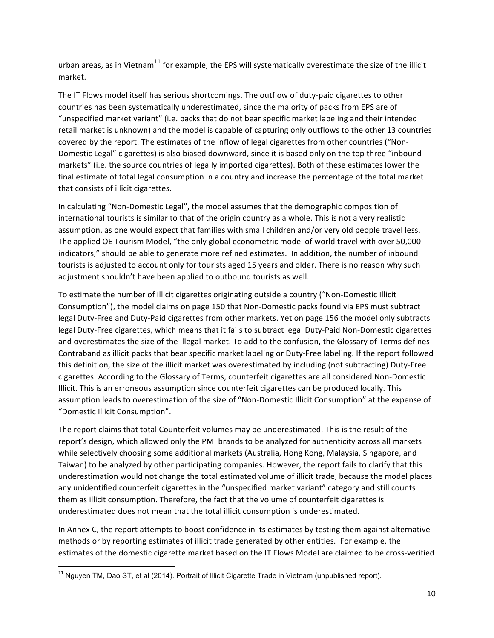urban areas, as in Vietnam<sup>11</sup> for example, the EPS will systematically overestimate the size of the illicit market. 

The IT Flows model itself has serious shortcomings. The outflow of duty-paid cigarettes to other countries has been systematically underestimated, since the majority of packs from EPS are of "unspecified market variant" (i.e. packs that do not bear specific market labeling and their intended retail market is unknown) and the model is capable of capturing only outflows to the other 13 countries covered by the report. The estimates of the inflow of legal cigarettes from other countries ("Non-Domestic Legal" cigarettes) is also biased downward, since it is based only on the top three "inbound markets" (i.e. the source countries of legally imported cigarettes). Both of these estimates lower the final estimate of total legal consumption in a country and increase the percentage of the total market that consists of illicit cigarettes.

In calculating "Non-Domestic Legal", the model assumes that the demographic composition of international tourists is similar to that of the origin country as a whole. This is not a very realistic assumption, as one would expect that families with small children and/or very old people travel less. The applied OE Tourism Model, "the only global econometric model of world travel with over 50,000 indicators," should be able to generate more refined estimates. In addition, the number of inbound tourists is adjusted to account only for tourists aged 15 years and older. There is no reason why such adjustment shouldn't have been applied to outbound tourists as well.

To estimate the number of illicit cigarettes originating outside a country ("Non-Domestic Illicit Consumption"), the model claims on page 150 that Non-Domestic packs found via EPS must subtract legal Duty-Free and Duty-Paid cigarettes from other markets. Yet on page 156 the model only subtracts legal Duty-Free cigarettes, which means that it fails to subtract legal Duty-Paid Non-Domestic cigarettes and overestimates the size of the illegal market. To add to the confusion, the Glossary of Terms defines Contraband as illicit packs that bear specific market labeling or Duty-Free labeling. If the report followed this definition, the size of the illicit market was overestimated by including (not subtracting) Duty-Free cigarettes. According to the Glossary of Terms, counterfeit cigarettes are all considered Non-Domestic Illicit. This is an erroneous assumption since counterfeit cigarettes can be produced locally. This assumption leads to overestimation of the size of "Non-Domestic Illicit Consumption" at the expense of "Domestic Illicit Consumption".

The report claims that total Counterfeit volumes may be underestimated. This is the result of the report's design, which allowed only the PMI brands to be analyzed for authenticity across all markets while selectively choosing some additional markets (Australia, Hong Kong, Malaysia, Singapore, and Taiwan) to be analyzed by other participating companies. However, the report fails to clarify that this underestimation would not change the total estimated volume of illicit trade, because the model places any unidentified counterfeit cigarettes in the "unspecified market variant" category and still counts them as illicit consumption. Therefore, the fact that the volume of counterfeit cigarettes is underestimated does not mean that the total illicit consumption is underestimated.

In Annex C, the report attempts to boost confidence in its estimates by testing them against alternative methods or by reporting estimates of illicit trade generated by other entities. For example, the estimates of the domestic cigarette market based on the IT Flows Model are claimed to be cross-verified

 $11$  Nguyen TM, Dao ST, et al (2014). Portrait of Illicit Cigarette Trade in Vietnam (unpublished report).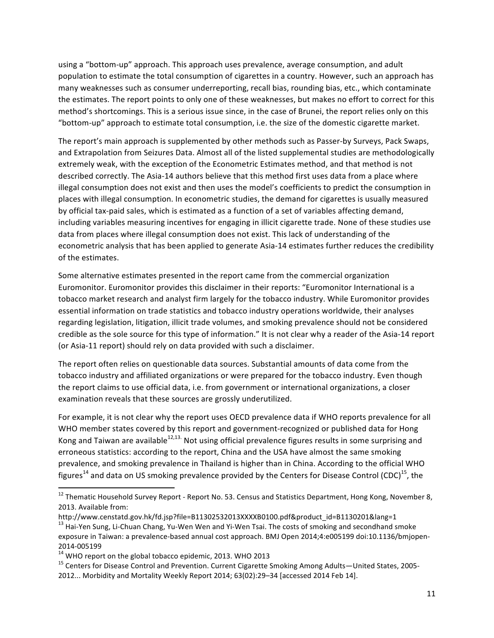using a "bottom-up" approach. This approach uses prevalence, average consumption, and adult population to estimate the total consumption of cigarettes in a country. However, such an approach has many weaknesses such as consumer underreporting, recall bias, rounding bias, etc., which contaminate the estimates. The report points to only one of these weaknesses, but makes no effort to correct for this method's shortcomings. This is a serious issue since, in the case of Brunei, the report relies only on this "bottom-up" approach to estimate total consumption, i.e. the size of the domestic cigarette market.

The report's main approach is supplemented by other methods such as Passer-by Surveys, Pack Swaps, and Extrapolation from Seizures Data. Almost all of the listed supplemental studies are methodologically extremely weak, with the exception of the Econometric Estimates method, and that method is not described correctly. The Asia-14 authors believe that this method first uses data from a place where illegal consumption does not exist and then uses the model's coefficients to predict the consumption in places with illegal consumption. In econometric studies, the demand for cigarettes is usually measured by official tax-paid sales, which is estimated as a function of a set of variables affecting demand, including variables measuring incentives for engaging in illicit cigarette trade. None of these studies use data from places where illegal consumption does not exist. This lack of understanding of the econometric analysis that has been applied to generate Asia-14 estimates further reduces the credibility of the estimates.

Some alternative estimates presented in the report came from the commercial organization Euromonitor. Euromonitor provides this disclaimer in their reports: "Euromonitor International is a tobacco market research and analyst firm largely for the tobacco industry. While Euromonitor provides essential information on trade statistics and tobacco industry operations worldwide, their analyses regarding legislation, litigation, illicit trade volumes, and smoking prevalence should not be considered credible as the sole source for this type of information." It is not clear why a reader of the Asia-14 report (or Asia-11 report) should rely on data provided with such a disclaimer.

The report often relies on questionable data sources. Substantial amounts of data come from the tobacco industry and affiliated organizations or were prepared for the tobacco industry. Even though the report claims to use official data, i.e. from government or international organizations, a closer examination reveals that these sources are grossly underutilized.

For example, it is not clear why the report uses OECD prevalence data if WHO reports prevalence for all WHO member states covered by this report and government-recognized or published data for Hong Kong and Taiwan are available<sup>12,13.</sup> Not using official prevalence figures results in some surprising and erroneous statistics: according to the report, China and the USA have almost the same smoking prevalence, and smoking prevalence in Thailand is higher than in China. According to the official WHO figures<sup>14</sup> and data on US smoking prevalence provided by the Centers for Disease Control (CDC)<sup>15</sup>, the

 $^{12}$  Thematic Household Survey Report - Report No. 53. Census and Statistics Department, Hong Kong, November 8, 2013. Available from:

http://www.censtatd.gov.hk/fd.jsp?file=B11302532013XXXXB0100.pdf&product\_id=B1130201&lang=1

<sup>&</sup>lt;sup>13</sup> Hai-Yen Sung, Li-Chuan Chang, Yu-Wen Wen and Yi-Wen Tsai. The costs of smoking and secondhand smoke exposure in Taiwan: a prevalence-based annual cost approach. BMJ Open 2014;4:e005199 doi:10.1136/bmjopen-

<sup>2014-005199&</sup>lt;br><sup>14</sup> WHO report on the global tobacco epidemic, 2013. WHO 2013<br><sup>15</sup> Centers for Disease Control and Prevention. Current Cigarette Smoking Among Adults—United States, 2005-2012... Morbidity and Mortality Weekly Report 2014; 63(02):29-34 [accessed 2014 Feb 14].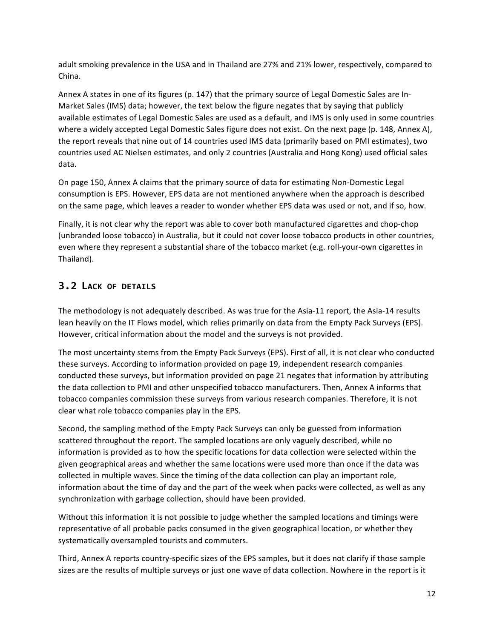adult smoking prevalence in the USA and in Thailand are 27% and 21% lower, respectively, compared to China.

Annex A states in one of its figures (p. 147) that the primary source of Legal Domestic Sales are In-Market Sales (IMS) data; however, the text below the figure negates that by saying that publicly available estimates of Legal Domestic Sales are used as a default, and IMS is only used in some countries where a widely accepted Legal Domestic Sales figure does not exist. On the next page (p. 148, Annex A), the report reveals that nine out of 14 countries used IMS data (primarily based on PMI estimates), two countries used AC Nielsen estimates, and only 2 countries (Australia and Hong Kong) used official sales data. 

On page 150, Annex A claims that the primary source of data for estimating Non-Domestic Legal consumption is EPS. However, EPS data are not mentioned anywhere when the approach is described on the same page, which leaves a reader to wonder whether EPS data was used or not, and if so, how.

Finally, it is not clear why the report was able to cover both manufactured cigarettes and chop-chop (unbranded loose tobacco) in Australia, but it could not cover loose tobacco products in other countries, even where they represent a substantial share of the tobacco market (e.g. roll-your-own cigarettes in Thailand). 

# **3.2 LACK OF DETAILS**

The methodology is not adequately described. As was true for the Asia-11 report, the Asia-14 results lean heavily on the IT Flows model, which relies primarily on data from the Empty Pack Surveys (EPS). However, critical information about the model and the surveys is not provided.

The most uncertainty stems from the Empty Pack Surveys (EPS). First of all, it is not clear who conducted these surveys. According to information provided on page 19, independent research companies conducted these surveys, but information provided on page 21 negates that information by attributing the data collection to PMI and other unspecified tobacco manufacturers. Then, Annex A informs that tobacco companies commission these surveys from various research companies. Therefore, it is not clear what role tobacco companies play in the EPS.

Second, the sampling method of the Empty Pack Surveys can only be guessed from information scattered throughout the report. The sampled locations are only vaguely described, while no information is provided as to how the specific locations for data collection were selected within the given geographical areas and whether the same locations were used more than once if the data was collected in multiple waves. Since the timing of the data collection can play an important role, information about the time of day and the part of the week when packs were collected, as well as any synchronization with garbage collection, should have been provided.

Without this information it is not possible to judge whether the sampled locations and timings were representative of all probable packs consumed in the given geographical location, or whether they systematically oversampled tourists and commuters.

Third, Annex A reports country-specific sizes of the EPS samples, but it does not clarify if those sample sizes are the results of multiple surveys or just one wave of data collection. Nowhere in the report is it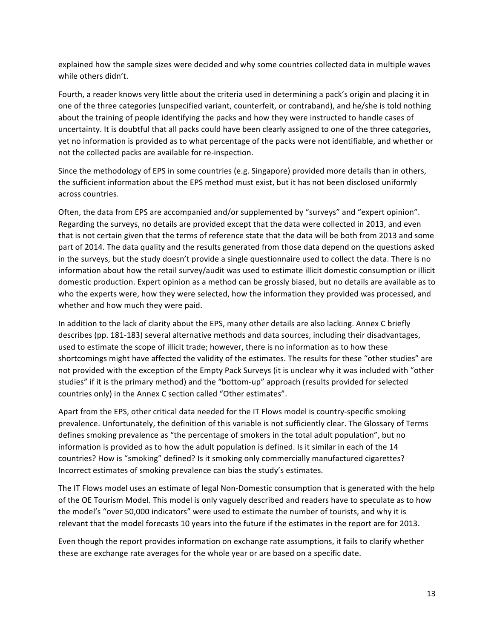explained how the sample sizes were decided and why some countries collected data in multiple waves while others didn't. 

Fourth, a reader knows very little about the criteria used in determining a pack's origin and placing it in one of the three categories (unspecified variant, counterfeit, or contraband), and he/she is told nothing about the training of people identifying the packs and how they were instructed to handle cases of uncertainty. It is doubtful that all packs could have been clearly assigned to one of the three categories, yet no information is provided as to what percentage of the packs were not identifiable, and whether or not the collected packs are available for re-inspection.

Since the methodology of EPS in some countries (e.g. Singapore) provided more details than in others, the sufficient information about the EPS method must exist, but it has not been disclosed uniformly across countries.

Often, the data from EPS are accompanied and/or supplemented by "surveys" and "expert opinion". Regarding the surveys, no details are provided except that the data were collected in 2013, and even that is not certain given that the terms of reference state that the data will be both from 2013 and some part of 2014. The data quality and the results generated from those data depend on the questions asked in the surveys, but the study doesn't provide a single questionnaire used to collect the data. There is no information about how the retail survey/audit was used to estimate illicit domestic consumption or illicit domestic production. Expert opinion as a method can be grossly biased, but no details are available as to who the experts were, how they were selected, how the information they provided was processed, and whether and how much they were paid.

In addition to the lack of clarity about the EPS, many other details are also lacking. Annex C briefly describes (pp. 181-183) several alternative methods and data sources, including their disadvantages, used to estimate the scope of illicit trade; however, there is no information as to how these shortcomings might have affected the validity of the estimates. The results for these "other studies" are not provided with the exception of the Empty Pack Surveys (it is unclear why it was included with "other studies" if it is the primary method) and the "bottom-up" approach (results provided for selected countries only) in the Annex C section called "Other estimates".

Apart from the EPS, other critical data needed for the IT Flows model is country-specific smoking prevalence. Unfortunately, the definition of this variable is not sufficiently clear. The Glossary of Terms defines smoking prevalence as "the percentage of smokers in the total adult population", but no information is provided as to how the adult population is defined. Is it similar in each of the 14 countries? How is "smoking" defined? Is it smoking only commercially manufactured cigarettes? Incorrect estimates of smoking prevalence can bias the study's estimates.

The IT Flows model uses an estimate of legal Non-Domestic consumption that is generated with the help of the OE Tourism Model. This model is only vaguely described and readers have to speculate as to how the model's "over 50,000 indicators" were used to estimate the number of tourists, and why it is relevant that the model forecasts 10 years into the future if the estimates in the report are for 2013.

Even though the report provides information on exchange rate assumptions, it fails to clarify whether these are exchange rate averages for the whole year or are based on a specific date.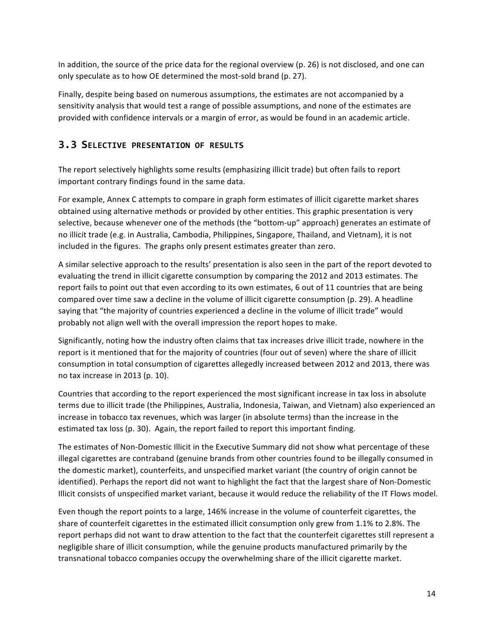In addition, the source of the price data for the regional overview (p. 26) is not disclosed, and one can only speculate as to how OE determined the most-sold brand (p. 27).

Finally, despite being based on numerous assumptions, the estimates are not accompanied by a sensitivity analysis that would test a range of possible assumptions, and none of the estimates are provided with confidence intervals or a margin of error, as would be found in an academic article.

### **3.3 SELECTIVE PRESENTATION OF RESULTS**

The report selectively highlights some results (emphasizing illicit trade) but often fails to report important contrary findings found in the same data.

For example, Annex C attempts to compare in graph form estimates of illicit cigarette market shares obtained using alternative methods or provided by other entities. This graphic presentation is very selective, because whenever one of the methods (the "bottom-up" approach) generates an estimate of no illicit trade (e.g. in Australia, Cambodia, Philippines, Singapore, Thailand, and Vietnam), it is not included in the figures. The graphs only present estimates greater than zero.

A similar selective approach to the results' presentation is also seen in the part of the report devoted to evaluating the trend in illicit cigarette consumption by comparing the 2012 and 2013 estimates. The report fails to point out that even according to its own estimates, 6 out of 11 countries that are being compared over time saw a decline in the volume of illicit cigarette consumption (p. 29). A headline saying that "the majority of countries experienced a decline in the volume of illicit trade" would probably not align well with the overall impression the report hopes to make.

Significantly, noting how the industry often claims that tax increases drive illicit trade, nowhere in the report is it mentioned that for the majority of countries (four out of seven) where the share of illicit consumption in total consumption of cigarettes allegedly increased between 2012 and 2013, there was no tax increase in 2013 (p. 10).

Countries that according to the report experienced the most significant increase in tax loss in absolute terms due to illicit trade (the Philippines, Australia, Indonesia, Taiwan, and Vietnam) also experienced an increase in tobacco tax revenues, which was larger (in absolute terms) than the increase in the estimated tax loss  $(p. 30)$ . Again, the report failed to report this important finding.

The estimates of Non-Domestic Illicit in the Executive Summary did not show what percentage of these illegal cigarettes are contraband (genuine brands from other countries found to be illegally consumed in the domestic market), counterfeits, and unspecified market variant (the country of origin cannot be identified). Perhaps the report did not want to highlight the fact that the largest share of Non-Domestic Illicit consists of unspecified market variant, because it would reduce the reliability of the IT Flows model.

Even though the report points to a large, 146% increase in the volume of counterfeit cigarettes, the share of counterfeit cigarettes in the estimated illicit consumption only grew from 1.1% to 2.8%. The report perhaps did not want to draw attention to the fact that the counterfeit cigarettes still represent a negligible share of illicit consumption, while the genuine products manufactured primarily by the transnational tobacco companies occupy the overwhelming share of the illicit cigarette market.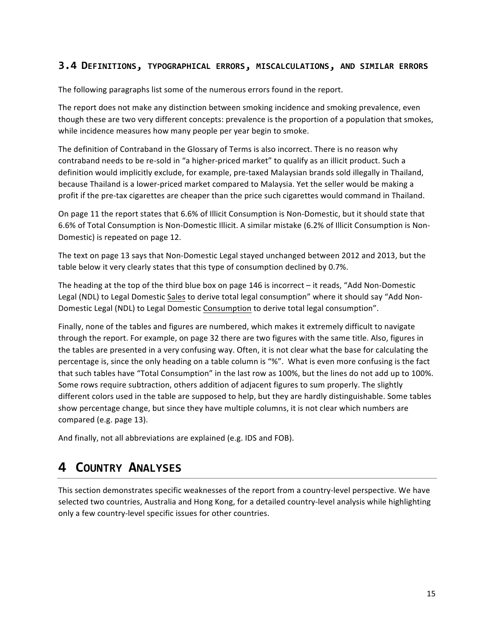#### **3.4 DEFINITIONS, TYPOGRAPHICAL ERRORS, MISCALCULATIONS, AND SIMILAR ERRORS**

The following paragraphs list some of the numerous errors found in the report.

The report does not make any distinction between smoking incidence and smoking prevalence, even though these are two very different concepts: prevalence is the proportion of a population that smokes, while incidence measures how many people per year begin to smoke.

The definition of Contraband in the Glossary of Terms is also incorrect. There is no reason why contraband needs to be re-sold in "a higher-priced market" to qualify as an illicit product. Such a definition would implicitly exclude, for example, pre-taxed Malaysian brands sold illegally in Thailand, because Thailand is a lower-priced market compared to Malaysia. Yet the seller would be making a profit if the pre-tax cigarettes are cheaper than the price such cigarettes would command in Thailand.

On page 11 the report states that 6.6% of Illicit Consumption is Non-Domestic, but it should state that 6.6% of Total Consumption is Non-Domestic Illicit. A similar mistake (6.2% of Illicit Consumption is Non-Domestic) is repeated on page 12.

The text on page 13 says that Non-Domestic Legal stayed unchanged between 2012 and 2013, but the table below it very clearly states that this type of consumption declined by 0.7%.

The heading at the top of the third blue box on page 146 is incorrect  $-$  it reads, "Add Non-Domestic Legal (NDL) to Legal Domestic Sales to derive total legal consumption" where it should say "Add Non-Domestic Legal (NDL) to Legal Domestic Consumption to derive total legal consumption".

Finally, none of the tables and figures are numbered, which makes it extremely difficult to navigate through the report. For example, on page 32 there are two figures with the same title. Also, figures in the tables are presented in a very confusing way. Often, it is not clear what the base for calculating the percentage is, since the only heading on a table column is "%". What is even more confusing is the fact that such tables have "Total Consumption" in the last row as 100%, but the lines do not add up to 100%. Some rows require subtraction, others addition of adjacent figures to sum properly. The slightly different colors used in the table are supposed to help, but they are hardly distinguishable. Some tables show percentage change, but since they have multiple columns, it is not clear which numbers are compared (e.g. page 13).

And finally, not all abbreviations are explained (e.g. IDS and FOB).

# **4 COUNTRY ANALYSES**

This section demonstrates specific weaknesses of the report from a country-level perspective. We have selected two countries, Australia and Hong Kong, for a detailed country-level analysis while highlighting only a few country-level specific issues for other countries.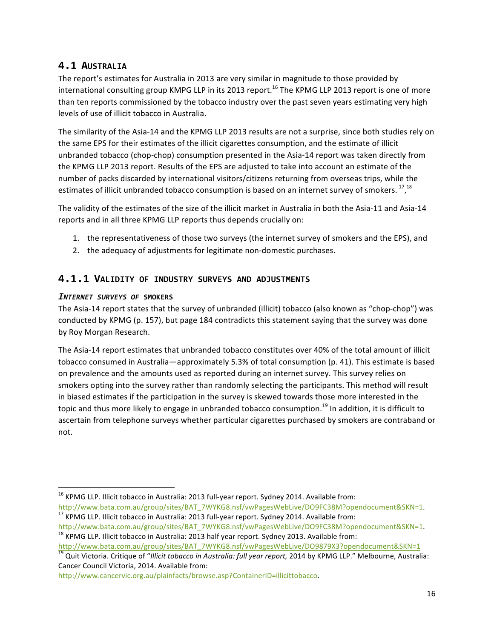# **4.1 AUSTRALIA**

The report's estimates for Australia in 2013 are very similar in magnitude to those provided by international consulting group KMPG LLP in its 2013 report.<sup>16</sup> The KPMG LLP 2013 report is one of more than ten reports commissioned by the tobacco industry over the past seven years estimating very high levels of use of illicit tobacco in Australia.

The similarity of the Asia-14 and the KPMG LLP 2013 results are not a surprise, since both studies rely on the same EPS for their estimates of the illicit cigarettes consumption, and the estimate of illicit unbranded tobacco (chop-chop) consumption presented in the Asia-14 report was taken directly from the KPMG LLP 2013 report. Results of the EPS are adjusted to take into account an estimate of the number of packs discarded by international visitors/citizens returning from overseas trips, while the estimates of illicit unbranded tobacco consumption is based on an internet survey of smokers.  $^{17}$ ,  $^{18}$ 

The validity of the estimates of the size of the illicit market in Australia in both the Asia-11 and Asia-14 reports and in all three KPMG LLP reports thus depends crucially on:

- 1. the representativeness of those two surveys (the internet survey of smokers and the EPS), and
- 2. the adequacy of adjustments for legitimate non-domestic purchases.

### **4.1.1 VALIDITY OF INDUSTRY SURVEYS AND ADJUSTMENTS**

#### *INTERNET SURVEYS OF* **SMOKERS**

 

The Asia-14 report states that the survey of unbranded (illicit) tobacco (also known as "chop-chop") was conducted by KPMG (p. 157), but page 184 contradicts this statement saying that the survey was done by Roy Morgan Research.

The Asia-14 report estimates that unbranded tobacco constitutes over 40% of the total amount of illicit tobacco consumed in Australia—approximately 5.3% of total consumption (p. 41). This estimate is based on prevalence and the amounts used as reported during an internet survey. This survey relies on smokers opting into the survey rather than randomly selecting the participants. This method will result in biased estimates if the participation in the survey is skewed towards those more interested in the topic and thus more likely to engage in unbranded tobacco consumption.<sup>19</sup> In addition, it is difficult to ascertain from telephone surveys whether particular cigarettes purchased by smokers are contraband or not. 

http://www.cancervic.org.au/plainfacts/browse.asp?ContainerID=illicittobacco.

<sup>&</sup>lt;sup>16</sup> KPMG LLP. Illicit tobacco in Australia: 2013 full-year report. Sydney 2014. Available from:<br>http://www.bata.com.au/group/sites/BAT\_7WYKG8.nsf/vwPagesWebLive/DO9FC38M?opendocument&SKN=1.  $\frac{17}{17}$  KPMG LLP. Illicit tobacco in Australia: 2013 full-year report. Sydney 2014. Available from:

http://www.bata.com.au/group/sites/BAT\_7WYKG8.nsf/vwPagesWebLive/DO9FC38M?opendocument&SKN=1.<br><sup>18</sup> KPMG LLP. Illicit tobacco in Australia: 2013 half year report. Sydney 2013. Available from:

http://www.bata.com.au/group/sites/BAT\_7WYKG8.nsf/vwPagesWebLive/DO9879X3?opendocument&SKN=1

<sup>&</sup>lt;sup>19</sup> Quit Victoria. Critique of "Illicit tobacco in Australia: full year report, 2014 by KPMG LLP." Melbourne, Australia: Cancer Council Victoria, 2014. Available from: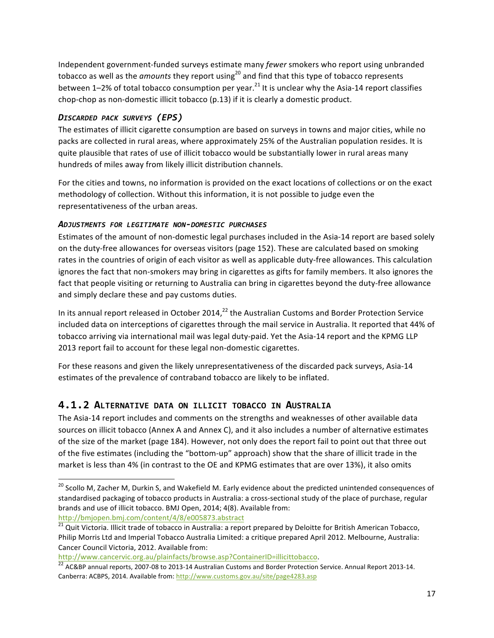Independent government-funded surveys estimate many *fewer* smokers who report using unbranded tobacco as well as the *amounts* they report using<sup>20</sup> and find that this type of tobacco represents between  $1-2\%$  of total tobacco consumption per year.<sup>21</sup> It is unclear why the Asia-14 report classifies chop-chop as non-domestic illicit tobacco (p.13) if it is clearly a domestic product.

#### *DISCARDED PACK SURVEYS (EPS)*

The estimates of illicit cigarette consumption are based on surveys in towns and major cities, while no packs are collected in rural areas, where approximately 25% of the Australian population resides. It is quite plausible that rates of use of illicit tobacco would be substantially lower in rural areas many hundreds of miles away from likely illicit distribution channels.

For the cities and towns, no information is provided on the exact locations of collections or on the exact methodology of collection. Without this information, it is not possible to judge even the representativeness of the urban areas.

#### *ADJUSTMENTS FOR LEGITIMATE NON-DOMESTIC PURCHASES*

Estimates of the amount of non-domestic legal purchases included in the Asia-14 report are based solely on the duty-free allowances for overseas visitors (page 152). These are calculated based on smoking rates in the countries of origin of each visitor as well as applicable duty-free allowances. This calculation ignores the fact that non-smokers may bring in cigarettes as gifts for family members. It also ignores the fact that people visiting or returning to Australia can bring in cigarettes beyond the duty-free allowance and simply declare these and pay customs duties.

In its annual report released in October 2014, $^{22}$  the Australian Customs and Border Protection Service included data on interceptions of cigarettes through the mail service in Australia. It reported that 44% of tobacco arriving via international mail was legal duty-paid. Yet the Asia-14 report and the KPMG LLP 2013 report fail to account for these legal non-domestic cigarettes.

For these reasons and given the likely unrepresentativeness of the discarded pack surveys, Asia-14 estimates of the prevalence of contraband tobacco are likely to be inflated.

### **4.1.2 ALTERNATIVE DATA ON ILLICIT TOBACCO IN AUSTRALIA**

The Asia-14 report includes and comments on the strengths and weaknesses of other available data sources on illicit tobacco (Annex A and Annex C), and it also includes a number of alternative estimates of the size of the market (page 184). However, not only does the report fail to point out that three out of the five estimates (including the "bottom-up" approach) show that the share of illicit trade in the market is less than 4% (in contrast to the OE and KPMG estimates that are over 13%), it also omits

<sup>&</sup>lt;sup>20</sup> Scollo M, Zacher M, Durkin S, and Wakefield M. Early evidence about the predicted unintended consequences of standardised packaging of tobacco products in Australia: a cross-sectional study of the place of purchase, regular brands and use of illicit tobacco. BMJ Open, 2014; 4(8). Available from: http://bmjopen.bmj.com/content/4/8/e005873.abstract

<sup>&</sup>lt;sup>21</sup> Quit Victoria. Illicit trade of tobacco in Australia: a report prepared by Deloitte for British American Tobacco, Philip Morris Ltd and Imperial Tobacco Australia Limited: a critique prepared April 2012. Melbourne, Australia: Cancer Council Victoria, 2012. Available from:

http://www.cancervic.org.au/plainfacts/browse.asp?ContainerID=illicittobacco.<br><sup>22</sup> AC&BP annual reports, 2007-08 to 2013-14 Australian Customs and Border Protection Service. Annual Report 2013-14. Canberra: ACBPS, 2014. Available from: http://www.customs.gov.au/site/page4283.asp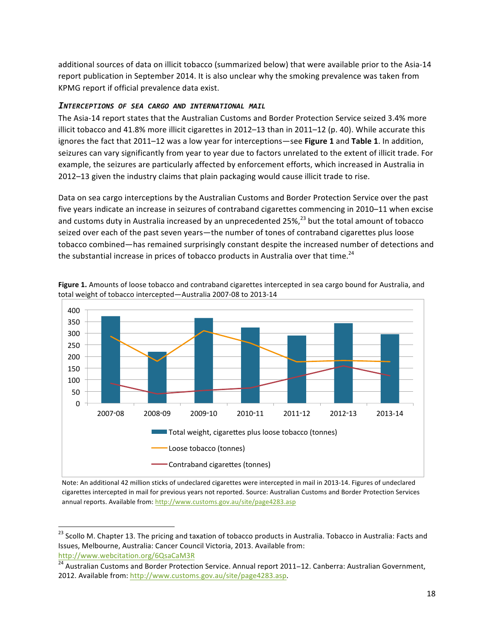additional sources of data on illicit tobacco (summarized below) that were available prior to the Asia-14 report publication in September 2014. It is also unclear why the smoking prevalence was taken from KPMG report if official prevalence data exist.

#### *INTERCEPTIONS OF SEA CARGO AND INTERNATIONAL MAIL*

The Asia-14 report states that the Australian Customs and Border Protection Service seized 3.4% more illicit tobacco and 41.8% more illicit cigarettes in 2012–13 than in 2011–12 (p. 40). While accurate this ignores the fact that 2011–12 was a low year for interceptions—see Figure 1 and Table 1. In addition, seizures can vary significantly from year to year due to factors unrelated to the extent of illicit trade. For example, the seizures are particularly affected by enforcement efforts, which increased in Australia in 2012–13 given the industry claims that plain packaging would cause illicit trade to rise.

Data on sea cargo interceptions by the Australian Customs and Border Protection Service over the past five years indicate an increase in seizures of contraband cigarettes commencing in 2010–11 when excise and customs duty in Australia increased by an unprecedented 25%,<sup>23</sup> but the total amount of tobacco seized over each of the past seven years—the number of tones of contraband cigarettes plus loose tobacco combined—has remained surprisingly constant despite the increased number of detections and the substantial increase in prices of tobacco products in Australia over that time.<sup>24</sup>



**Figure 1.** Amounts of loose tobacco and contraband cigarettes intercepted in sea cargo bound for Australia, and total weight of tobacco intercepted-Australia 2007-08 to 2013-14

Note: An additional 42 million sticks of undeclared cigarettes were intercepted in mail in 2013-14. Figures of undeclared cigarettes intercepted in mail for previous years not reported. Source: Australian Customs and Border Protection Services annual reports. Available from: http://www.customs.gov.au/site/page4283.asp

<sup>&</sup>lt;sup>23</sup> Scollo M. Chapter 13. The pricing and taxation of tobacco products in Australia. Tobacco in Australia: Facts and Issues, Melbourne, Australia: Cancer Council Victoria, 2013. Available from: http://www.webcitation.org/6QsaCaM3R

<sup>&</sup>lt;sup>24</sup> Australian Customs and Border Protection Service. Annual report 2011–12. Canberra: Australian Government, 2012. Available from: http://www.customs.gov.au/site/page4283.asp.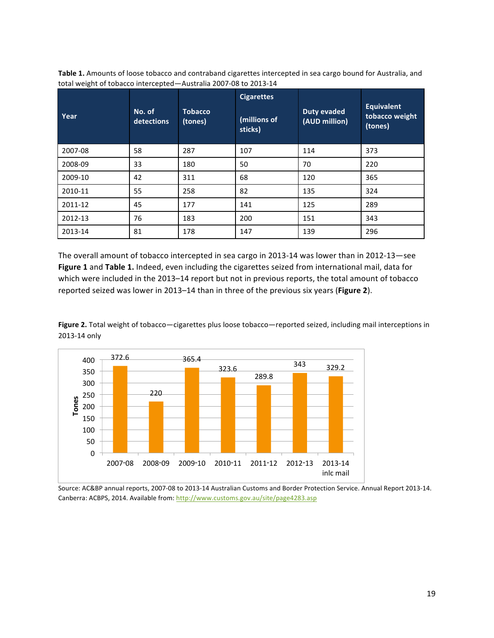| Year    | No. of<br>detections | <b>Tobacco</b><br>(tones) | <b>Cigarettes</b><br>(millions of<br>sticks) | <b>Duty evaded</b><br>(AUD million) | <b>Equivalent</b><br>tobacco weight<br>(tones) |
|---------|----------------------|---------------------------|----------------------------------------------|-------------------------------------|------------------------------------------------|
| 2007-08 | 58                   | 287                       | 107                                          | 114                                 | 373                                            |
| 2008-09 | 33                   | 180                       | 50                                           | 70                                  | 220                                            |
| 2009-10 | 42                   | 311                       | 68                                           | 120                                 | 365                                            |
| 2010-11 | 55                   | 258                       | 82                                           | 135                                 | 324                                            |
| 2011-12 | 45                   | 177                       | 141                                          | 125                                 | 289                                            |
| 2012-13 | 76                   | 183                       | 200                                          | 151                                 | 343                                            |
| 2013-14 | 81                   | 178                       | 147                                          | 139                                 | 296                                            |

Table 1. Amounts of loose tobacco and contraband cigarettes intercepted in sea cargo bound for Australia, and total weight of tobacco intercepted-Australia 2007-08 to 2013-14

The overall amount of tobacco intercepted in sea cargo in 2013-14 was lower than in 2012-13-see **Figure 1** and **Table 1.** Indeed, even including the cigarettes seized from international mail, data for which were included in the 2013-14 report but not in previous reports, the total amount of tobacco reported seized was lower in 2013–14 than in three of the previous six years (Figure 2).

Figure 2. Total weight of tobacco—cigarettes plus loose tobacco—reported seized, including mail interceptions in 2013-14 only



Source: AC&BP annual reports, 2007-08 to 2013-14 Australian Customs and Border Protection Service. Annual Report 2013-14. Canberra: ACBPS, 2014. Available from: http://www.customs.gov.au/site/page4283.asp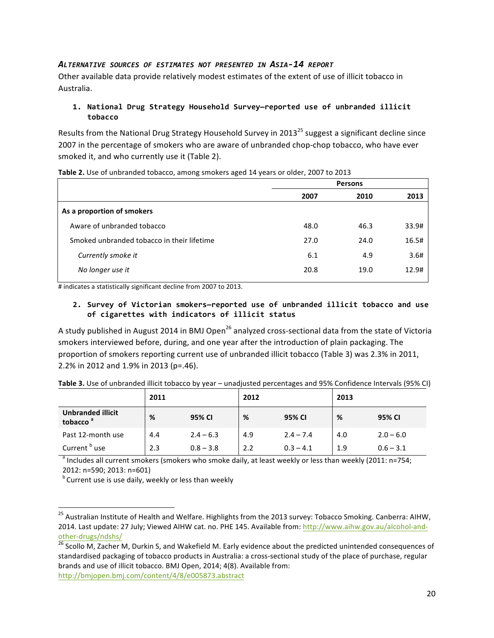#### *ALTERNATIVE SOURCES OF ESTIMATES NOT PRESENTED IN ASIA-14 REPORT*

Other available data provide relatively modest estimates of the extent of use of illicit tobacco in Australia.

#### 1. National Drug Strategy Household Survey-reported use of unbranded illicit **tobacco**

Results from the National Drug Strategy Household Survey in 2013<sup>25</sup> suggest a significant decline since 2007 in the percentage of smokers who are aware of unbranded chop-chop tobacco, who have ever smoked it, and who currently use it (Table 2).

| <b>Persons</b> |      |       |
|----------------|------|-------|
| 2007           | 2010 | 2013  |
|                |      |       |
| 48.0           | 46.3 | 33.9# |
| 27.0           | 24.0 | 16.5# |
| 6.1            | 4.9  | 3.6#  |
| 20.8           | 19.0 | 12.9# |
|                |      |       |

**Table 2.** Use of unbranded tobacco, among smokers aged 14 years or older, 2007 to 2013

 $#$  indicates a statistically significant decline from 2007 to 2013.

#### 2. Survey of Victorian smokers-reported use of unbranded illicit tobacco and use **of cigarettes with indicators of illicit status**

A study published in August 2014 in BMJ Open<sup>26</sup> analyzed cross-sectional data from the state of Victoria smokers interviewed before, during, and one year after the introduction of plain packaging. The proportion of smokers reporting current use of unbranded illicit tobacco (Table 3) was 2.3% in 2011, 2.2% in 2012 and 1.9% in 2013 (p=.46).

|                                                  | 2011 |             | 2012 |             | 2013 |             |
|--------------------------------------------------|------|-------------|------|-------------|------|-------------|
| <b>Unbranded illicit</b><br>tobacco <sup>a</sup> | %    | 95% CI      | %    | 95% CI      | %    | 95% CI      |
| Past 12-month use                                | 4.4  | $2.4 - 6.3$ | 4.9  | $2.4 - 7.4$ | 4.0  | $2.0 - 6.0$ |
| Current <sup>b</sup><br>' use                    | 2.3  | $0.8 - 3.8$ | 2.2  | $0.3 - 4.1$ | 1.9  | $0.6 - 3.1$ |

Table 3. Use of unbranded illicit tobacco by year – unadjusted percentages and 95% Confidence Intervals (95% CI)

 $a$  Includes all current smokers (smokers who smoke daily, at least weekly or less than weekly (2011:  $n=754$ ; 2012: n=590; 2013: n=601)

 $b$  Current use is use daily, weekly or less than weekly

 $^{25}$  Australian Institute of Health and Welfare. Highlights from the 2013 survey: Tobacco Smoking. Canberra: AIHW, 2014. Last update: 27 July; Viewed AIHW cat. no. PHE 145. Available from: http://www.aihw.gov.au/alcohol-andother-drugs/ndshs/<br><sup>26</sup> Scollo M, Zacher M, Durkin S, and Wakefield M. Early evidence about the predicted unintended consequences of

standardised packaging of tobacco products in Australia: a cross-sectional study of the place of purchase, regular brands and use of illicit tobacco. BMJ Open, 2014; 4(8). Available from: http://bmjopen.bmj.com/content/4/8/e005873.abstract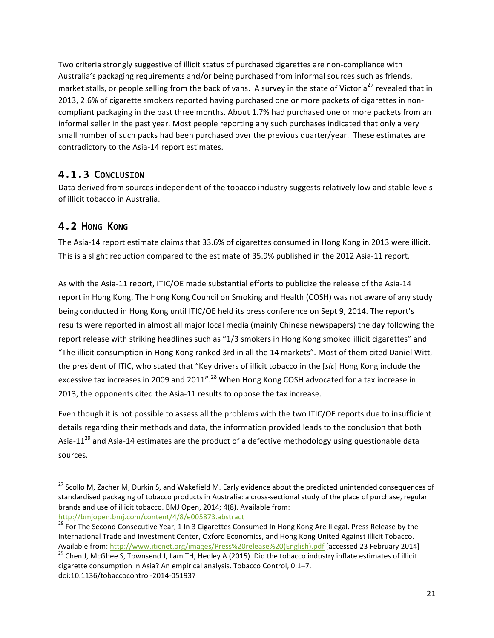Two criteria strongly suggestive of illicit status of purchased cigarettes are non-compliance with Australia's packaging requirements and/or being purchased from informal sources such as friends, market stalls, or people selling from the back of vans. A survey in the state of Victoria<sup>27</sup> revealed that in 2013, 2.6% of cigarette smokers reported having purchased one or more packets of cigarettes in noncompliant packaging in the past three months. About 1.7% had purchased one or more packets from an informal seller in the past year. Most people reporting any such purchases indicated that only a very small number of such packs had been purchased over the previous quarter/year. These estimates are contradictory to the Asia-14 report estimates.

### **4.1.3 CONCLUSION**

Data derived from sources independent of the tobacco industry suggests relatively low and stable levels of illicit tobacco in Australia.

# **4.2 HONG KONG**

The Asia-14 report estimate claims that 33.6% of cigarettes consumed in Hong Kong in 2013 were illicit. This is a slight reduction compared to the estimate of 35.9% published in the 2012 Asia-11 report.

As with the Asia-11 report, ITIC/OE made substantial efforts to publicize the release of the Asia-14 report in Hong Kong. The Hong Kong Council on Smoking and Health (COSH) was not aware of any study being conducted in Hong Kong until ITIC/OE held its press conference on Sept 9, 2014. The report's results were reported in almost all major local media (mainly Chinese newspapers) the day following the report release with striking headlines such as "1/3 smokers in Hong Kong smoked illicit cigarettes" and "The illicit consumption in Hong Kong ranked 3rd in all the 14 markets". Most of them cited Daniel Witt, the president of ITIC, who stated that "Key drivers of illicit tobacco in the [sic] Hong Kong include the excessive tax increases in 2009 and 2011".<sup>28</sup> When Hong Kong COSH advocated for a tax increase in 2013, the opponents cited the Asia-11 results to oppose the tax increase.

Even though it is not possible to assess all the problems with the two ITIC/OE reports due to insufficient details regarding their methods and data, the information provided leads to the conclusion that both Asia-11<sup>29</sup> and Asia-14 estimates are the product of a defective methodology using questionable data sources. 

http://bmjopen.bmj.com/content/4/8/e005873.abstract

 $^{27}$  Scollo M, Zacher M, Durkin S, and Wakefield M. Early evidence about the predicted unintended consequences of standardised packaging of tobacco products in Australia: a cross-sectional study of the place of purchase, regular brands and use of illicit tobacco. BMJ Open, 2014; 4(8). Available from:

<sup>&</sup>lt;sup>28</sup> For The Second Consecutive Year, 1 In 3 Cigarettes Consumed In Hong Kong Are Illegal. Press Release by the International Trade and Investment Center, Oxford Economics, and Hong Kong United Against Illicit Tobacco. Available from: http://www.iticnet.org/images/Press%20release%20(English).pdf [accessed 23 February 2014]

 $29$  Chen J, McGhee S, Townsend J, Lam TH, Hedley A (2015). Did the tobacco industry inflate estimates of illicit cigarette consumption in Asia? An empirical analysis. Tobacco Control, 0:1-7. doi:10.1136/tobaccocontrol-2014-051937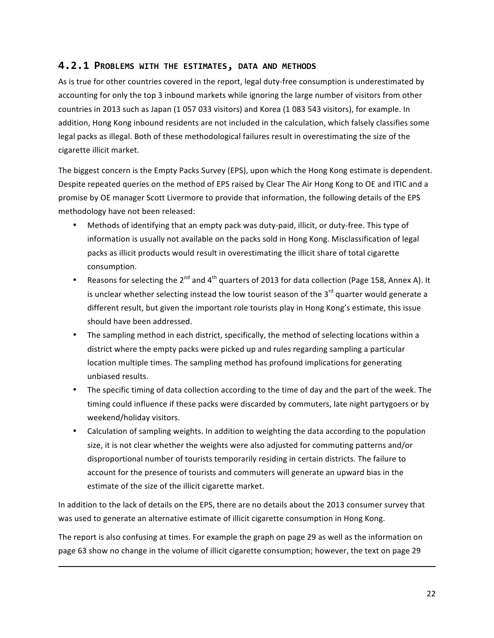#### **4.2.1 PROBLEMS WITH THE ESTIMATES, DATA AND METHODS**

As is true for other countries covered in the report, legal duty-free consumption is underestimated by accounting for only the top 3 inbound markets while ignoring the large number of visitors from other countries in 2013 such as Japan (1 057 033 visitors) and Korea (1 083 543 visitors), for example. In addition, Hong Kong inbound residents are not included in the calculation, which falsely classifies some legal packs as illegal. Both of these methodological failures result in overestimating the size of the cigarette illicit market.

The biggest concern is the Empty Packs Survey (EPS), upon which the Hong Kong estimate is dependent. Despite repeated queries on the method of EPS raised by Clear The Air Hong Kong to OE and ITIC and a promise by OE manager Scott Livermore to provide that information, the following details of the EPS methodology have not been released:

- Methods of identifying that an empty pack was duty-paid, illicit, or duty-free. This type of information is usually not available on the packs sold in Hong Kong. Misclassification of legal packs as illicit products would result in overestimating the illicit share of total cigarette consumption.
- Reasons for selecting the  $2^{nd}$  and  $4^{th}$  quarters of 2013 for data collection (Page 158, Annex A). It is unclear whether selecting instead the low tourist season of the  $3<sup>rd</sup>$  quarter would generate a different result, but given the important role tourists play in Hong Kong's estimate, this issue should have been addressed.
- The sampling method in each district, specifically, the method of selecting locations within a district where the empty packs were picked up and rules regarding sampling a particular location multiple times. The sampling method has profound implications for generating unbiased results.
- The specific timing of data collection according to the time of day and the part of the week. The timing could influence if these packs were discarded by commuters, late night partygoers or by weekend/holiday visitors.
- Calculation of sampling weights. In addition to weighting the data according to the population size, it is not clear whether the weights were also adjusted for commuting patterns and/or disproportional number of tourists temporarily residing in certain districts. The failure to account for the presence of tourists and commuters will generate an upward bias in the estimate of the size of the illicit cigarette market.

In addition to the lack of details on the EPS, there are no details about the 2013 consumer survey that was used to generate an alternative estimate of illicit cigarette consumption in Hong Kong.

The report is also confusing at times. For example the graph on page 29 as well as the information on page 63 show no change in the volume of illicit cigarette consumption; however, the text on page 29

<u> 1989 - Andrea Santa Andrea Andrea Andrea Andrea Andrea Andrea Andrea Andrea Andrea Andrea Andrea Andrea Andr</u>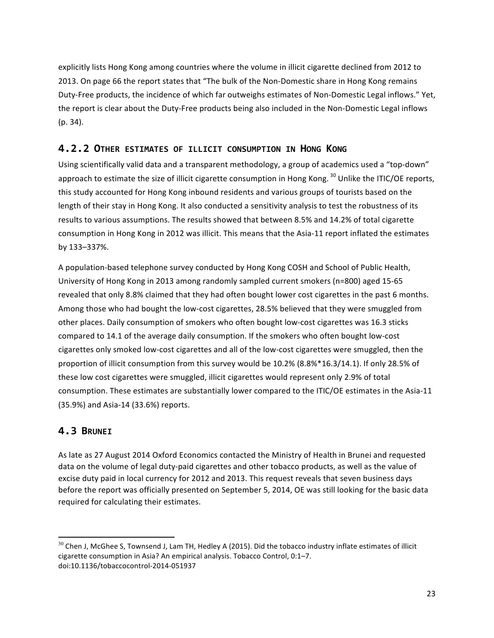explicitly lists Hong Kong among countries where the volume in illicit cigarette declined from 2012 to 2013. On page 66 the report states that "The bulk of the Non-Domestic share in Hong Kong remains Duty-Free products, the incidence of which far outweighs estimates of Non-Domestic Legal inflows." Yet, the report is clear about the Duty-Free products being also included in the Non-Domestic Legal inflows  $(p. 34)$ .

### **4.2.2 OTHER ESTIMATES OF ILLICIT CONSUMPTION IN HONG KONG**

Using scientifically valid data and a transparent methodology, a group of academics used a "top-down" approach to estimate the size of illicit cigarette consumption in Hong Kong. <sup>30</sup> Unlike the ITIC/OE reports, this study accounted for Hong Kong inbound residents and various groups of tourists based on the length of their stay in Hong Kong. It also conducted a sensitivity analysis to test the robustness of its results to various assumptions. The results showed that between 8.5% and 14.2% of total cigarette consumption in Hong Kong in 2012 was illicit. This means that the Asia-11 report inflated the estimates by 133–337%.

A population-based telephone survey conducted by Hong Kong COSH and School of Public Health, University of Hong Kong in 2013 among randomly sampled current smokers (n=800) aged 15-65 revealed that only 8.8% claimed that they had often bought lower cost cigarettes in the past 6 months. Among those who had bought the low-cost cigarettes, 28.5% believed that they were smuggled from other places. Daily consumption of smokers who often bought low-cost cigarettes was 16.3 sticks compared to 14.1 of the average daily consumption. If the smokers who often bought low-cost cigarettes only smoked low-cost cigarettes and all of the low-cost cigarettes were smuggled, then the proportion of illicit consumption from this survey would be 10.2% (8.8%\*16.3/14.1). If only 28.5% of these low cost cigarettes were smuggled, illicit cigarettes would represent only 2.9% of total consumption. These estimates are substantially lower compared to the ITIC/OE estimates in the Asia-11 (35.9%) and Asia-14 (33.6%) reports.

### **4.3 BRUNEI**

 

As late as 27 August 2014 Oxford Economics contacted the Ministry of Health in Brunei and requested data on the volume of legal duty-paid cigarettes and other tobacco products, as well as the value of excise duty paid in local currency for 2012 and 2013. This request reveals that seven business days before the report was officially presented on September 5, 2014, OE was still looking for the basic data required for calculating their estimates.

 $30$  Chen J, McGhee S, Townsend J, Lam TH, Hedley A (2015). Did the tobacco industry inflate estimates of illicit cigarette consumption in Asia? An empirical analysis. Tobacco Control, 0:1-7. doi:10.1136/tobaccocontrol-2014-051937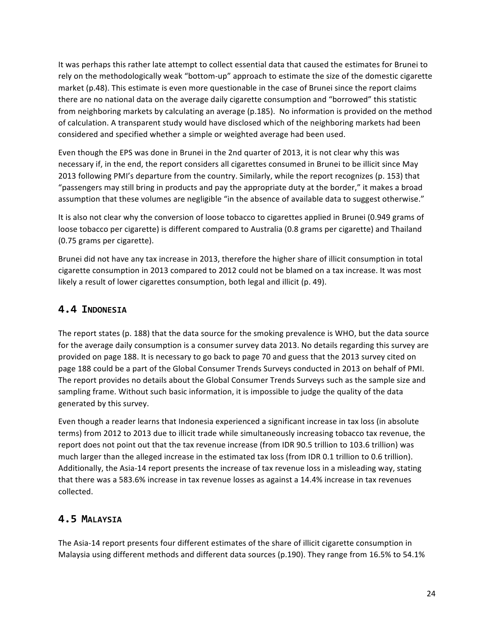It was perhaps this rather late attempt to collect essential data that caused the estimates for Brunei to rely on the methodologically weak "bottom-up" approach to estimate the size of the domestic cigarette market (p.48). This estimate is even more questionable in the case of Brunei since the report claims there are no national data on the average daily cigarette consumption and "borrowed" this statistic from neighboring markets by calculating an average (p.185). No information is provided on the method of calculation. A transparent study would have disclosed which of the neighboring markets had been considered and specified whether a simple or weighted average had been used.

Even though the EPS was done in Brunei in the 2nd quarter of 2013, it is not clear why this was necessary if, in the end, the report considers all cigarettes consumed in Brunei to be illicit since May 2013 following PMI's departure from the country. Similarly, while the report recognizes (p. 153) that "passengers may still bring in products and pay the appropriate duty at the border," it makes a broad assumption that these volumes are negligible "in the absence of available data to suggest otherwise."

It is also not clear why the conversion of loose tobacco to cigarettes applied in Brunei (0.949 grams of loose tobacco per cigarette) is different compared to Australia (0.8 grams per cigarette) and Thailand (0.75 grams per cigarette). 

Brunei did not have any tax increase in 2013, therefore the higher share of illicit consumption in total cigarette consumption in 2013 compared to 2012 could not be blamed on a tax increase. It was most likely a result of lower cigarettes consumption, both legal and illicit (p. 49).

## **4.4 INDONESIA**

The report states (p. 188) that the data source for the smoking prevalence is WHO, but the data source for the average daily consumption is a consumer survey data 2013. No details regarding this survey are provided on page 188. It is necessary to go back to page 70 and guess that the 2013 survey cited on page 188 could be a part of the Global Consumer Trends Surveys conducted in 2013 on behalf of PMI. The report provides no details about the Global Consumer Trends Surveys such as the sample size and sampling frame. Without such basic information, it is impossible to judge the quality of the data generated by this survey.

Even though a reader learns that Indonesia experienced a significant increase in tax loss (in absolute terms) from 2012 to 2013 due to illicit trade while simultaneously increasing tobacco tax revenue, the report does not point out that the tax revenue increase (from IDR 90.5 trillion to 103.6 trillion) was much larger than the alleged increase in the estimated tax loss (from IDR 0.1 trillion to 0.6 trillion). Additionally, the Asia-14 report presents the increase of tax revenue loss in a misleading way, stating that there was a 583.6% increase in tax revenue losses as against a 14.4% increase in tax revenues collected. 

# **4.5 MALAYSIA**

The Asia-14 report presents four different estimates of the share of illicit cigarette consumption in Malaysia using different methods and different data sources (p.190). They range from 16.5% to 54.1%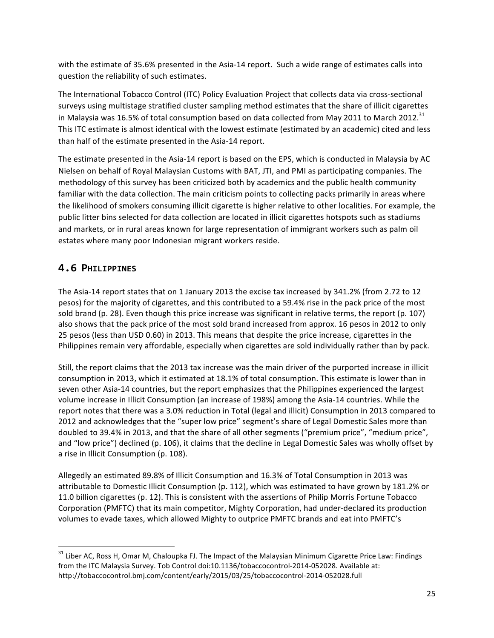with the estimate of 35.6% presented in the Asia-14 report. Such a wide range of estimates calls into question the reliability of such estimates.

The International Tobacco Control (ITC) Policy Evaluation Project that collects data via cross-sectional surveys using multistage stratified cluster sampling method estimates that the share of illicit cigarettes in Malaysia was 16.5% of total consumption based on data collected from May 2011 to March 2012.<sup>31</sup> This ITC estimate is almost identical with the lowest estimate (estimated by an academic) cited and less than half of the estimate presented in the Asia-14 report.

The estimate presented in the Asia-14 report is based on the EPS, which is conducted in Malaysia by AC Nielsen on behalf of Royal Malaysian Customs with BAT, JTI, and PMI as participating companies. The methodology of this survey has been criticized both by academics and the public health community familiar with the data collection. The main criticism points to collecting packs primarily in areas where the likelihood of smokers consuming illicit cigarette is higher relative to other localities. For example, the public litter bins selected for data collection are located in illicit cigarettes hotspots such as stadiums and markets, or in rural areas known for large representation of immigrant workers such as palm oil estates where many poor Indonesian migrant workers reside.

## **4.6 PHILIPPINES**

 

The Asia-14 report states that on 1 January 2013 the excise tax increased by 341.2% (from 2.72 to 12 pesos) for the majority of cigarettes, and this contributed to a 59.4% rise in the pack price of the most sold brand (p. 28). Even though this price increase was significant in relative terms, the report (p. 107) also shows that the pack price of the most sold brand increased from approx. 16 pesos in 2012 to only 25 pesos (less than USD 0.60) in 2013. This means that despite the price increase, cigarettes in the Philippines remain very affordable, especially when cigarettes are sold individually rather than by pack.

Still, the report claims that the 2013 tax increase was the main driver of the purported increase in illicit consumption in 2013, which it estimated at 18.1% of total consumption. This estimate is lower than in seven other Asia-14 countries, but the report emphasizes that the Philippines experienced the largest volume increase in Illicit Consumption (an increase of 198%) among the Asia-14 countries. While the report notes that there was a 3.0% reduction in Total (legal and illicit) Consumption in 2013 compared to 2012 and acknowledges that the "super low price" segment's share of Legal Domestic Sales more than doubled to 39.4% in 2013, and that the share of all other segments ("premium price", "medium price", and "low price") declined (p. 106), it claims that the decline in Legal Domestic Sales was wholly offset by a rise in Illicit Consumption (p. 108).

Allegedly an estimated 89.8% of Illicit Consumption and 16.3% of Total Consumption in 2013 was attributable to Domestic Illicit Consumption (p. 112), which was estimated to have grown by 181.2% or 11.0 billion cigarettes (p. 12). This is consistent with the assertions of Philip Morris Fortune Tobacco Corporation (PMFTC) that its main competitor, Mighty Corporation, had under-declared its production volumes to evade taxes, which allowed Mighty to outprice PMFTC brands and eat into PMFTC's

 $31$  Liber AC, Ross H, Omar M, Chaloupka FJ. The Impact of the Malaysian Minimum Cigarette Price Law: Findings from the ITC Malaysia Survey. Tob Control doi:10.1136/tobaccocontrol-2014-052028. Available at: http://tobaccocontrol.bmj.com/content/early/2015/03/25/tobaccocontrol-2014-052028.full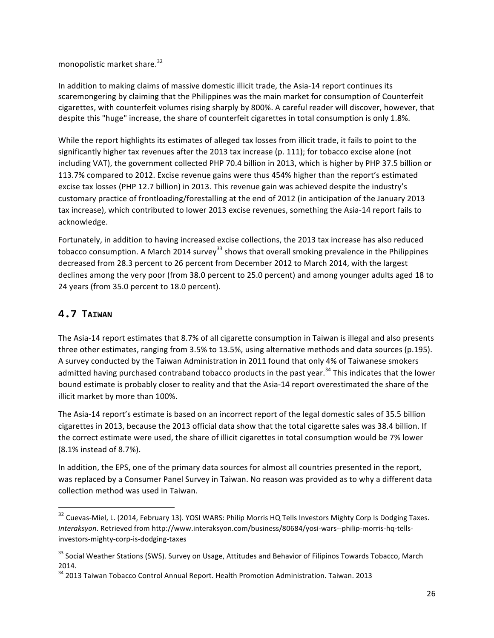monopolistic market share.<sup>32</sup>

In addition to making claims of massive domestic illicit trade, the Asia-14 report continues its scaremongering by claiming that the Philippines was the main market for consumption of Counterfeit cigarettes, with counterfeit volumes rising sharply by 800%. A careful reader will discover, however, that despite this "huge" increase, the share of counterfeit cigarettes in total consumption is only 1.8%.

While the report highlights its estimates of alleged tax losses from illicit trade, it fails to point to the significantly higher tax revenues after the 2013 tax increase (p. 111); for tobacco excise alone (not including VAT), the government collected PHP 70.4 billion in 2013, which is higher by PHP 37.5 billion or 113.7% compared to 2012. Excise revenue gains were thus 454% higher than the report's estimated excise tax losses (PHP 12.7 billion) in 2013. This revenue gain was achieved despite the industry's customary practice of frontloading/forestalling at the end of 2012 (in anticipation of the January 2013 tax increase), which contributed to lower 2013 excise revenues, something the Asia-14 report fails to acknowledge.

Fortunately, in addition to having increased excise collections, the 2013 tax increase has also reduced tobacco consumption. A March 2014 survey<sup>33</sup> shows that overall smoking prevalence in the Philippines decreased from 28.3 percent to 26 percent from December 2012 to March 2014, with the largest declines among the very poor (from 38.0 percent to 25.0 percent) and among younger adults aged 18 to 24 years (from 35.0 percent to 18.0 percent).

# **4.7 TAIWAN**

 

The Asia-14 report estimates that 8.7% of all cigarette consumption in Taiwan is illegal and also presents three other estimates, ranging from 3.5% to 13.5%, using alternative methods and data sources (p.195). A survey conducted by the Taiwan Administration in 2011 found that only 4% of Taiwanese smokers admitted having purchased contraband tobacco products in the past year.<sup>34</sup> This indicates that the lower bound estimate is probably closer to reality and that the Asia-14 report overestimated the share of the illicit market by more than 100%.

The Asia-14 report's estimate is based on an incorrect report of the legal domestic sales of 35.5 billion cigarettes in 2013, because the 2013 official data show that the total cigarette sales was 38.4 billion. If the correct estimate were used, the share of illicit cigarettes in total consumption would be 7% lower (8.1% instead of 8.7%). 

In addition, the EPS, one of the primary data sources for almost all countries presented in the report, was replaced by a Consumer Panel Survey in Taiwan. No reason was provided as to why a different data collection method was used in Taiwan.

 $32$  Cuevas-Miel, L. (2014, February 13). YOSI WARS: Philip Morris HQ Tells Investors Mighty Corp Is Dodging Taxes. *Interaksyon*. Retrieved from http://www.interaksyon.com/business/80684/yosi-wars--philip-morris-hq-tellsinvestors-mighty-corp-is-dodging-taxes

<sup>&</sup>lt;sup>33</sup> Social Weather Stations (SWS). Survey on Usage, Attitudes and Behavior of Filipinos Towards Tobacco, March 2014.

<sup>&</sup>lt;sup>34</sup> 2013 Taiwan Tobacco Control Annual Report. Health Promotion Administration. Taiwan. 2013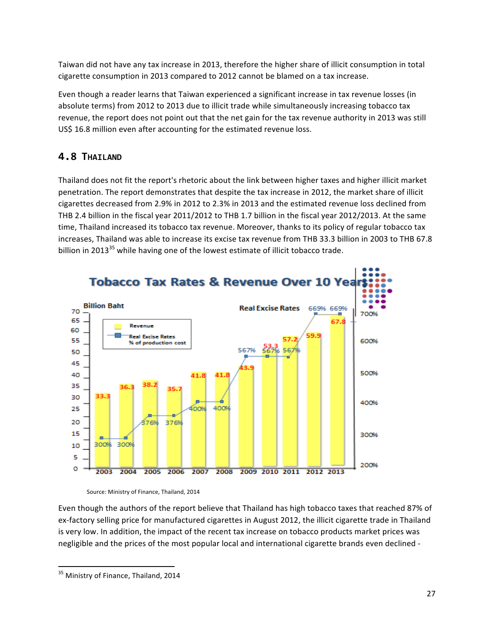Taiwan did not have any tax increase in 2013, therefore the higher share of illicit consumption in total cigarette consumption in 2013 compared to 2012 cannot be blamed on a tax increase.

Even though a reader learns that Taiwan experienced a significant increase in tax revenue losses (in absolute terms) from 2012 to 2013 due to illicit trade while simultaneously increasing tobacco tax revenue, the report does not point out that the net gain for the tax revenue authority in 2013 was still US\$ 16.8 million even after accounting for the estimated revenue loss.

# **4.8 THAILAND**

Thailand does not fit the report's rhetoric about the link between higher taxes and higher illicit market penetration. The report demonstrates that despite the tax increase in 2012, the market share of illicit cigarettes decreased from 2.9% in 2012 to 2.3% in 2013 and the estimated revenue loss declined from THB 2.4 billion in the fiscal year 2011/2012 to THB 1.7 billion in the fiscal year 2012/2013. At the same time, Thailand increased its tobacco tax revenue. Moreover, thanks to its policy of regular tobacco tax increases, Thailand was able to increase its excise tax revenue from THB 33.3 billion in 2003 to THB 67.8 billion in 2013 $^{35}$  while having one of the lowest estimate of illicit tobacco trade.



Source: Ministry of Finance, Thailand, 2014

Even though the authors of the report believe that Thailand has high tobacco taxes that reached 87% of ex-factory selling price for manufactured cigarettes in August 2012, the illicit cigarette trade in Thailand is very low. In addition, the impact of the recent tax increase on tobacco products market prices was negligible and the prices of the most popular local and international cigarette brands even declined -

 <sup>35</sup> Ministry of Finance, Thailand, 2014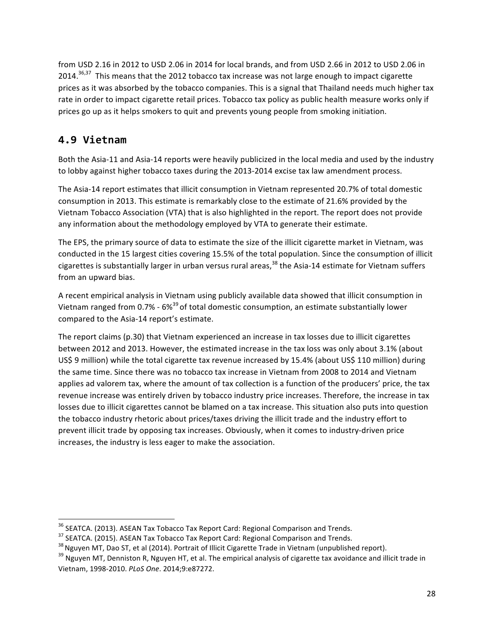from USD 2.16 in 2012 to USD 2.06 in 2014 for local brands, and from USD 2.66 in 2012 to USD 2.06 in 2014.<sup>36,37</sup> This means that the 2012 tobacco tax increase was not large enough to impact cigarette prices as it was absorbed by the tobacco companies. This is a signal that Thailand needs much higher tax rate in order to impact cigarette retail prices. Tobacco tax policy as public health measure works only if prices go up as it helps smokers to quit and prevents young people from smoking initiation.

# **4.9 Vietnam**

Both the Asia-11 and Asia-14 reports were heavily publicized in the local media and used by the industry to lobby against higher tobacco taxes during the 2013-2014 excise tax law amendment process.

The Asia-14 report estimates that illicit consumption in Vietnam represented 20.7% of total domestic consumption in 2013. This estimate is remarkably close to the estimate of 21.6% provided by the Vietnam Tobacco Association (VTA) that is also highlighted in the report. The report does not provide any information about the methodology employed by VTA to generate their estimate.

The EPS, the primary source of data to estimate the size of the illicit cigarette market in Vietnam, was conducted in the 15 largest cities covering 15.5% of the total population. Since the consumption of illicit cigarettes is substantially larger in urban versus rural areas,  $^{38}$  the Asia-14 estimate for Vietnam suffers from an upward bias.

A recent empirical analysis in Vietnam using publicly available data showed that illicit consumption in Vietnam ranged from 0.7% -  $6\%^{39}$  of total domestic consumption, an estimate substantially lower compared to the Asia-14 report's estimate.

The report claims  $(p.30)$  that Vietnam experienced an increase in tax losses due to illicit cigarettes between 2012 and 2013. However, the estimated increase in the tax loss was only about 3.1% (about US\$ 9 million) while the total cigarette tax revenue increased by 15.4% (about US\$ 110 million) during the same time. Since there was no tobacco tax increase in Vietnam from 2008 to 2014 and Vietnam applies ad valorem tax, where the amount of tax collection is a function of the producers' price, the tax revenue increase was entirely driven by tobacco industry price increases. Therefore, the increase in tax losses due to illicit cigarettes cannot be blamed on a tax increase. This situation also puts into question the tobacco industry rhetoric about prices/taxes driving the illicit trade and the industry effort to prevent illicit trade by opposing tax increases. Obviously, when it comes to industry-driven price increases, the industry is less eager to make the association.

<sup>&</sup>lt;sup>36</sup> SEATCA. (2013). ASEAN Tax Tobacco Tax Report Card: Regional Comparison and Trends.

<sup>&</sup>lt;sup>37</sup> SEATCA. (2015). ASEAN Tax Tobacco Tax Report Card: Regional Comparison and Trends.<br><sup>38</sup> Nguyen MT, Dao ST, et al (2014). Portrait of Illicit Cigarette Trade in Vietnam (unpublished report).<br><sup>39</sup> Nguyen MT, Denniston Vietnam, 1998-2010. *PLoS One*. 2014;9:e87272.